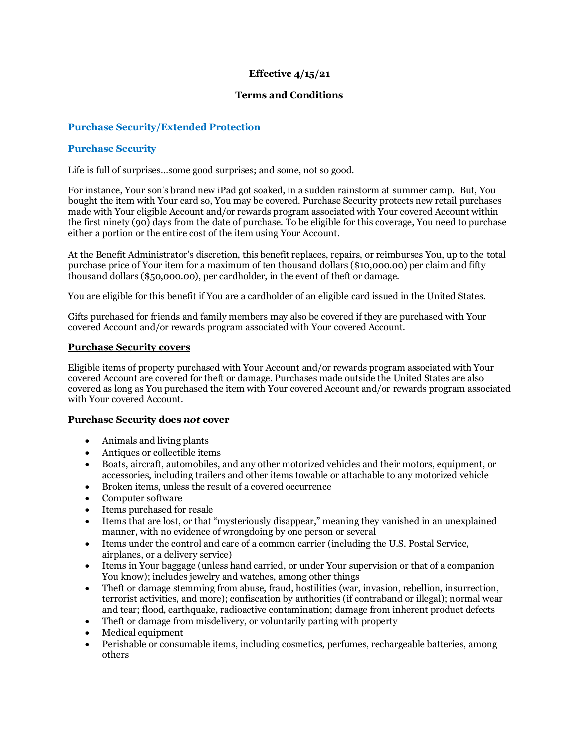# **Effective 4/15/21**

### **Terms and Conditions**

# **Purchase Security/Extended Protection**

### **Purchase Security**

Life is full of surprises…some good surprises; and some, not so good.

For instance, Your son's brand new iPad got soaked, in a sudden rainstorm at summer camp. But, You bought the item with Your card so, You may be covered. Purchase Security protects new retail purchases made with Your eligible Account and/or rewards program associated with Your covered Account within the first ninety (90) days from the date of purchase. To be eligible for this coverage, You need to purchase either a portion or the entire cost of the item using Your Account.

At the Benefit Administrator's discretion, this benefit replaces, repairs, or reimburses You, up to the total purchase price of Your item for a maximum of ten thousand dollars (\$10,000.00) per claim and fifty thousand dollars (\$50,000.00), per cardholder, in the event of theft or damage.

You are eligible for this benefit if You are a cardholder of an eligible card issued in the United States.

Gifts purchased for friends and family members may also be covered if they are purchased with Your covered Account and/or rewards program associated with Your covered Account.

#### **Purchase Security covers**

Eligible items of property purchased with Your Account and/or rewards program associated with Your covered Account are covered for theft or damage. Purchases made outside the United States are also covered as long as You purchased the item with Your covered Account and/or rewards program associated with Your covered Account.

#### **Purchase Security does** *not* **cover**

- Animals and living plants
- Antiques or collectible items
- Boats, aircraft, automobiles, and any other motorized vehicles and their motors, equipment, or accessories, including trailers and other items towable or attachable to any motorized vehicle
- Broken items, unless the result of a covered occurrence
- Computer software
- Items purchased for resale
- Items that are lost, or that "mysteriously disappear," meaning they vanished in an unexplained manner, with no evidence of wrongdoing by one person or several
- Items under the control and care of a common carrier (including the U.S. Postal Service, airplanes, or a delivery service)
- Items in Your baggage (unless hand carried, or under Your supervision or that of a companion You know); includes jewelry and watches, among other things
- Theft or damage stemming from abuse, fraud, hostilities (war, invasion, rebellion, insurrection, terrorist activities, and more); confiscation by authorities (if contraband or illegal); normal wear and tear; flood, earthquake, radioactive contamination; damage from inherent product defects
- Theft or damage from misdelivery, or voluntarily parting with property
- Medical equipment
- Perishable or consumable items, including cosmetics, perfumes, rechargeable batteries, among others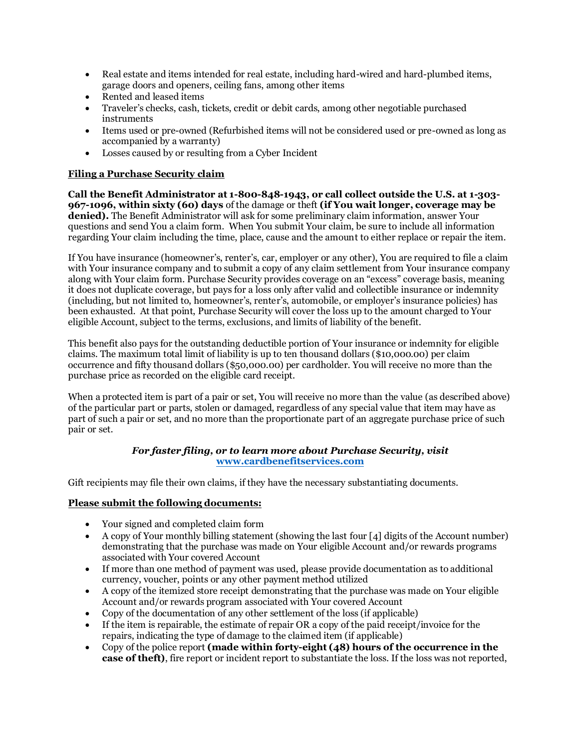- Real estate and items intended for real estate, including hard-wired and hard-plumbed items, garage doors and openers, ceiling fans, among other items
- Rented and leased items
- Traveler's checks, cash, tickets, credit or debit cards, among other negotiable purchased instruments
- Items used or pre-owned (Refurbished items will not be considered used or pre-owned as long as accompanied by a warranty)
- Losses caused by or resulting from a Cyber Incident

# **Filing a Purchase Security claim**

**Call the Benefit Administrator at 1-800-848-1943, or call collect outside the U.S. at 1-303- 967-1096, within sixty (60) days** of the damage or theft **(if You wait longer, coverage may be denied).** The Benefit Administrator will ask for some preliminary claim information, answer Your questions and send You a claim form. When You submit Your claim, be sure to include all information regarding Your claim including the time, place, cause and the amount to either replace or repair the item.

If You have insurance (homeowner's, renter's, car, employer or any other), You are required to file a claim with Your insurance company and to submit a copy of any claim settlement from Your insurance company along with Your claim form. Purchase Security provides coverage on an "excess" coverage basis, meaning it does not duplicate coverage, but pays for a loss only after valid and collectible insurance or indemnity (including, but not limited to, homeowner's, renter's, automobile, or employer's insurance policies) has been exhausted. At that point, Purchase Security will cover the loss up to the amount charged to Your eligible Account, subject to the terms, exclusions, and limits of liability of the benefit.

This benefit also pays for the outstanding deductible portion of Your insurance or indemnity for eligible claims. The maximum total limit of liability is up to ten thousand dollars (\$10,000.00) per claim occurrence and fifty thousand dollars (\$50,000.00) per cardholder. You will receive no more than the purchase price as recorded on the eligible card receipt.

When a protected item is part of a pair or set, You will receive no more than the value (as described above) of the particular part or parts, stolen or damaged, regardless of any special value that item may have as part of such a pair or set, and no more than the proportionate part of an aggregate purchase price of such pair or set.

### *For faster filing, or to learn more about Purchase Security, visit* **[www.cardbenefitservices.com](mailto:www.cardbenefitservices.com)**

Gift recipients may file their own claims, if they have the necessary substantiating documents.

## **Please submit the following documents:**

- Your signed and completed claim form
- A copy of Your monthly billing statement (showing the last four [4] digits of the Account number) demonstrating that the purchase was made on Your eligible Account and/or rewards programs associated with Your covered Account
- If more than one method of payment was used, please provide documentation as to additional currency, voucher, points or any other payment method utilized
- A copy of the itemized store receipt demonstrating that the purchase was made on Your eligible Account and/or rewards program associated with Your covered Account
- Copy of the documentation of any other settlement of the loss (if applicable)
- If the item is repairable, the estimate of repair OR a copy of the paid receipt/invoice for the repairs, indicating the type of damage to the claimed item (if applicable)
- Copy of the police report **(made within forty-eight (48) hours of the occurrence in the case of theft)**, fire report or incident report to substantiate the loss. If the loss was not reported,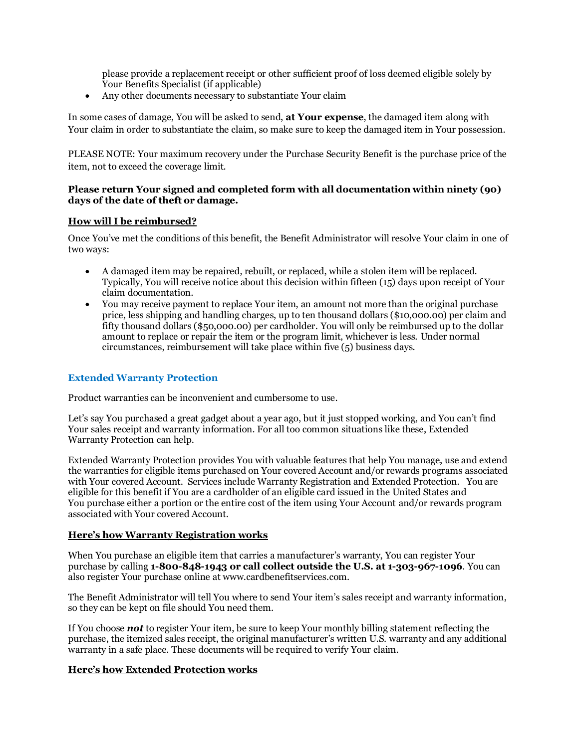please provide a replacement receipt or other sufficient proof of loss deemed eligible solely by Your Benefits Specialist (if applicable)

• Any other documents necessary to substantiate Your claim

In some cases of damage, You will be asked to send, **at Your expense**, the damaged item along with Your claim in order to substantiate the claim, so make sure to keep the damaged item in Your possession.

PLEASE NOTE: Your maximum recovery under the Purchase Security Benefit is the purchase price of the item, not to exceed the coverage limit.

### **Please return Your signed and completed form with all documentation within ninety (90) days of the date of theft or damage.**

### **How will I be reimbursed?**

Once You've met the conditions of this benefit, the Benefit Administrator will resolve Your claim in one of two ways:

- A damaged item may be repaired, rebuilt, or replaced, while a stolen item will be replaced. Typically, You will receive notice about this decision within fifteen (15) days upon receipt of Your claim documentation.
- You may receive payment to replace Your item, an amount not more than the original purchase price, less shipping and handling charges, up to ten thousand dollars (\$10,000.00) per claim and fifty thousand dollars (\$50,000.00) per cardholder. You will only be reimbursed up to the dollar amount to replace or repair the item or the program limit, whichever is less. Under normal circumstances, reimbursement will take place within five (5) business days.

## **Extended Warranty Protection**

Product warranties can be inconvenient and cumbersome to use.

Let's say You purchased a great gadget about a year ago, but it just stopped working, and You can't find Your sales receipt and warranty information. For all too common situations like these, Extended Warranty Protection can help.

Extended Warranty Protection provides You with valuable features that help You manage, use and extend the warranties for eligible items purchased on Your covered Account and/or rewards programs associated with Your covered Account. Services include Warranty Registration and Extended Protection. You are eligible for this benefit if You are a cardholder of an eligible card issued in the United States and You purchase either a portion or the entire cost of the item using Your Account and/or rewards program associated with Your covered Account.

#### **Here's how Warranty Registration works**

When You purchase an eligible item that carries a manufacturer's warranty, You can register Your purchase by calling **1-800-848-1943 or call collect outside the U.S. at 1-303-967-1096**. You can also register Your purchase online at www.cardbenefitservices.com.

The Benefit Administrator will tell You where to send Your item's sales receipt and warranty information, so they can be kept on file should You need them.

If You choose *not* to register Your item, be sure to keep Your monthly billing statement reflecting the purchase, the itemized sales receipt, the original manufacturer's written U.S. warranty and any additional warranty in a safe place. These documents will be required to verify Your claim.

## **Here's how Extended Protection works**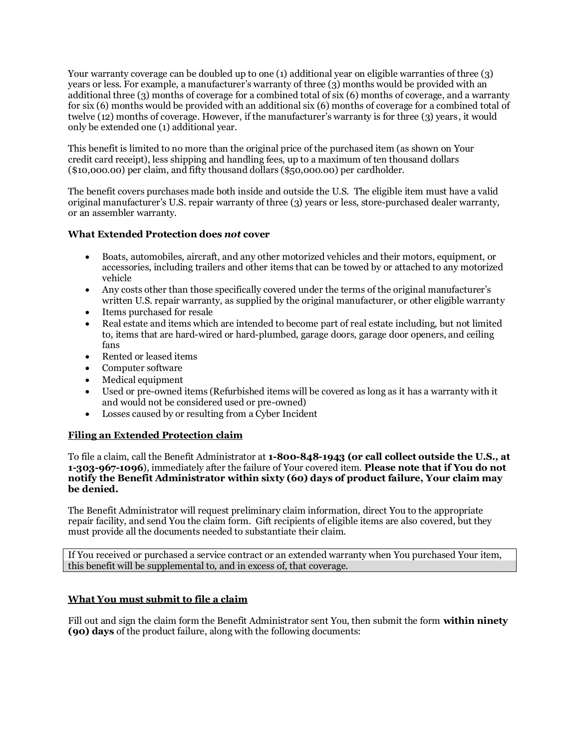Your warranty coverage can be doubled up to one (1) additional year on eligible warranties of three (3) years or less. For example, a manufacturer's warranty of three (3) months would be provided with an additional three (3) months of coverage for a combined total of six (6) months of coverage, and a warranty for six (6) months would be provided with an additional six (6) months of coverage for a combined total of twelve (12) months of coverage. However, if the manufacturer's warranty is for three (3) years, it would only be extended one (1) additional year.

This benefit is limited to no more than the original price of the purchased item (as shown on Your credit card receipt), less shipping and handling fees, up to a maximum of ten thousand dollars (\$10,000.00) per claim, and fifty thousand dollars (\$50,000.00) per cardholder.

The benefit covers purchases made both inside and outside the U.S. The eligible item must have a valid original manufacturer's U.S. repair warranty of three (3) years or less, store-purchased dealer warranty, or an assembler warranty.

## **What Extended Protection does** *not* **cover**

- Boats, automobiles, aircraft, and any other motorized vehicles and their motors, equipment, or accessories, including trailers and other items that can be towed by or attached to any motorized vehicle
- Any costs other than those specifically covered under the terms of the original manufacturer's written U.S. repair warranty, as supplied by the original manufacturer, or other eligible warranty
- Items purchased for resale
- Real estate and items which are intended to become part of real estate including, but not limited to, items that are hard-wired or hard-plumbed, garage doors, garage door openers, and ceiling fans
- Rented or leased items
- Computer software
- Medical equipment
- Used or pre-owned items (Refurbished items will be covered as long as it has a warranty with it and would not be considered used or pre-owned)
- Losses caused by or resulting from a Cyber Incident

## **Filing an Extended Protection claim**

To file a claim, call the Benefit Administrator at **1-800-848-1943 (or call collect outside the U.S., at 1-303-967-1096**), immediately after the failure of Your covered item. **Please note that if You do not notify the Benefit Administrator within sixty (60) days of product failure, Your claim may be denied.** 

The Benefit Administrator will request preliminary claim information, direct You to the appropriate repair facility, and send You the claim form. Gift recipients of eligible items are also covered, but they must provide all the documents needed to substantiate their claim.

If You received or purchased a service contract or an extended warranty when You purchased Your item, this benefit will be supplemental to, and in excess of, that coverage.

## **What You must submit to file a claim**

Fill out and sign the claim form the Benefit Administrator sent You, then submit the form **within ninety (90) days** of the product failure, along with the following documents: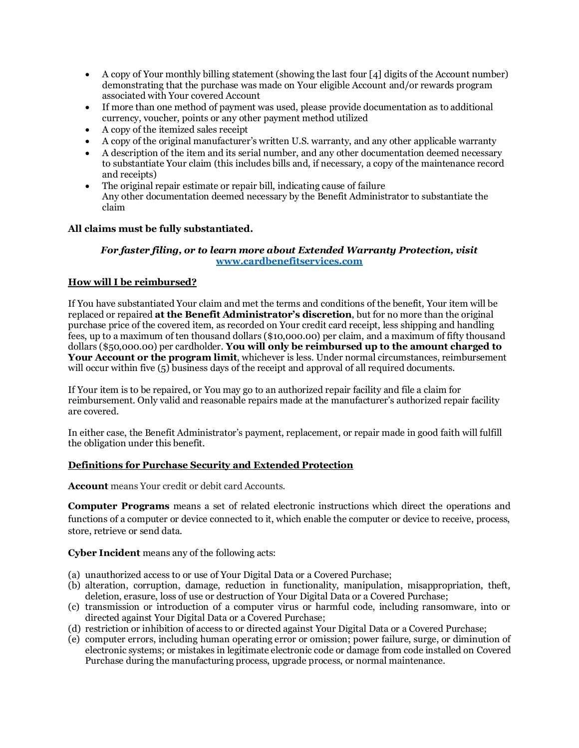- A copy of Your monthly billing statement (showing the last four [4] digits of the Account number) demonstrating that the purchase was made on Your eligible Account and/or rewards program associated with Your covered Account
- If more than one method of payment was used, please provide documentation as to additional currency, voucher, points or any other payment method utilized
- A copy of the itemized sales receipt
- A copy of the original manufacturer's written U.S. warranty, and any other applicable warranty
- A description of the item and its serial number, and any other documentation deemed necessary to substantiate Your claim (this includes bills and, if necessary, a copy of the maintenance record and receipts)
- The original repair estimate or repair bill, indicating cause of failure Any other documentation deemed necessary by the Benefit Administrator to substantiate the claim

# **All claims must be fully substantiated.**

### *For faster filing, or to learn more about Extended Warranty Protection, visit* **[www.cardbenefitservices.com](http://www.cardbenefitservices.com/)**

## **How will I be reimbursed?**

If You have substantiated Your claim and met the terms and conditions of the benefit, Your item will be replaced or repaired **at the Benefit Administrator's discretion**, but for no more than the original purchase price of the covered item, as recorded on Your credit card receipt, less shipping and handling fees, up to a maximum of ten thousand dollars (\$10,000.00) per claim, and a maximum of fifty thousand dollars (\$50,000.00) per cardholder. **You will only be reimbursed up to the amount charged to Your Account or the program limit**, whichever is less. Under normal circumstances, reimbursement will occur within five (5) business days of the receipt and approval of all required documents.

If Your item is to be repaired, or You may go to an authorized repair facility and file a claim for reimbursement. Only valid and reasonable repairs made at the manufacturer's authorized repair facility are covered.

In either case, the Benefit Administrator's payment, replacement, or repair made in good faith will fulfill the obligation under this benefit.

## **Definitions for Purchase Security and Extended Protection**

**Account** means Your credit or debit card Accounts.

**Computer Programs** means a set of related electronic instructions which direct the operations and functions of a computer or device connected to it, which enable the computer or device to receive, process, store, retrieve or send data.

**Cyber Incident** means any of the following acts:

- (a) unauthorized access to or use of Your Digital Data or a Covered Purchase;
- (b) alteration, corruption, damage, reduction in functionality, manipulation, misappropriation, theft, deletion, erasure, loss of use or destruction of Your Digital Data or a Covered Purchase;
- (c) transmission or introduction of a computer virus or harmful code, including ransomware, into or directed against Your Digital Data or a Covered Purchase;
- (d) restriction or inhibition of access to or directed against Your Digital Data or a Covered Purchase;
- (e) computer errors, including human operating error or omission; power failure, surge, or diminution of electronic systems; or mistakes in legitimate electronic code or damage from code installed on Covered Purchase during the manufacturing process, upgrade process, or normal maintenance.